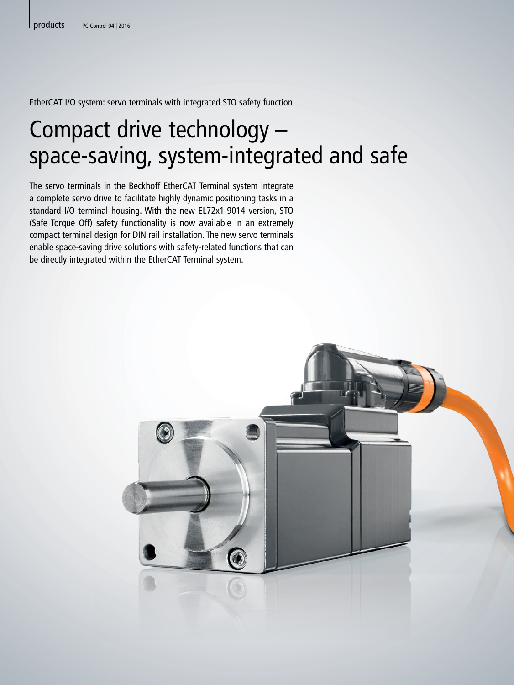EtherCAT I/O system: servo terminals with integrated STO safety function

## Compact drive technology – space-saving, system-integrated and safe

The servo terminals in the Beckhoff EtherCAT Terminal system integrate a complete servo drive to facilitate highly dynamic positioning tasks in a standard I/O terminal housing. With the new EL72x1-9014 version, STO (Safe Torque Off) safety functionality is now available in an extremely compact terminal design for DIN rail installation. The new servo terminals enable space-saving drive solutions with safety-related functions that can be directly integrated within the EtherCAT Terminal system.